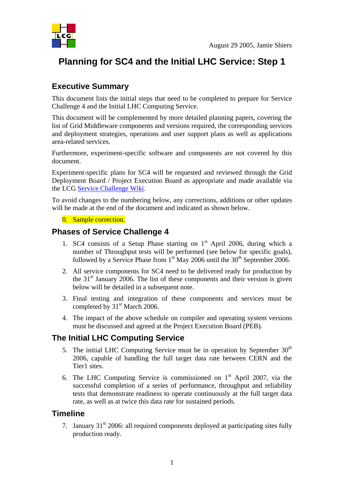

# **Planning for SC4 and the Initial LHC Service: Step 1**

# **Executive Summary**

This document lists the initial steps that need to be completed to prepare for Service Challenge 4 and the Initial LHC Computing Service.

This document will be complemented by more detailed planning papers, covering the list of Grid Middleware components and versions required, the corresponding services and deployment strategies, operations and user support plans as well as applications area-related services.

Furthermore, experiment-specific software and components are not covered by this document.

Experiment-specific plans for SC4 will be requested and reviewed through the Grid Deployment Board / Project Execution Board as appropriate and made available via the LCG Service Challenge Wiki.

To avoid changes to the numbering below, any corrections, additions or other updates will be made at the end of the document and indicated as shown below.

#### 0. Sample correction.

#### **Phases of Service Challenge 4**

- 1. SC4 consists of a Setup Phase starting on  $1<sup>st</sup>$  April 2006, during which a number of Throughput tests will be performed (see below for specific goals), followed by a Service Phase from  $1<sup>st</sup>$  May 2006 until the 30<sup>th</sup> September 2006.
- 2. All service components for SC4 need to be delivered ready for production by the  $31<sup>st</sup>$  January 2006. The list of these components and their version is given below will be detailed in a subsequent note.
- 3. Final testing and integration of these components and services must be completed by 31<sup>st</sup> March 2006.
- 4. The impact of the above schedule on compiler and operating system versions must be discussed and agreed at the Project Execution Board (PEB).

### **The Initial LHC Computing Service**

- 5. The initial LHC Computing Service must be in operation by September  $30<sup>th</sup>$ 2006, capable of handling the full target data rate between CERN and the Tier1 sites.
- 6. The LHC Computing Service is commissioned on  $1<sup>st</sup>$  April 2007, via the successful completion of a series of performance, throughput and reliability tests that demonstrate readiness to operate continuously at the full target data rate, as well as at twice this data rate for sustained periods.

### **Timeline**

7. January  $31<sup>st</sup>$  2006: all required components deployed at participating sites fully production ready.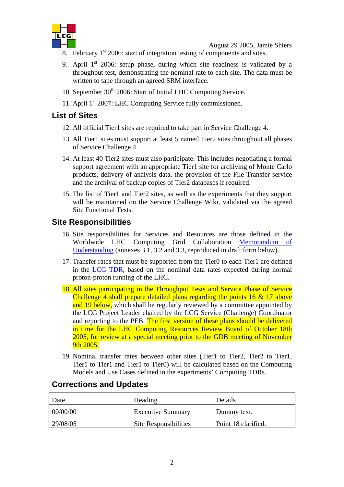

August 29 2005, Jamie Shiers

- 8. February  $1<sup>st</sup>$  2006: start of integration testing of components and sites.
- 9. April  $1<sup>st</sup>$  2006: setup phase, during which site readiness is validated by a throughput test, demonstrating the nominal rate to each site. The data must be written to tape through an agreed SRM interface.
- 10. September  $30<sup>th</sup>$  2006: Start of Initial LHC Computing Service.
- 11. April 1<sup>st</sup> 2007: LHC Computing Service fully commissioned.

# **List of Sites**

- 12. All official Tier1 sites are required to take part in Service Challenge 4.
- 13. All Tier1 sites must support at least 5 named Tier2 sites throughout all phases of Service Challenge 4.
- 14. At least 40 Tier2 sites must also participate. This includes negotiating a formal support agreement with an appropriate Tier1 site for archiving of Monte Carlo products, delivery of analysis data, the provision of the File Transfer service and the archival of backup copies of Tier2 databases if required.
- 15. The list of Tier1 and Tier2 sites, as well as the experiments that they support will be maintained on the Service Challenge Wiki, validated via the agreed Site Functional Tests.

# **Site Responsibilities**

- 16. Site responsibilities for Services and Resources are those defined in the Worldwide LHC Computing Grid Collaboration Memorandum of Understanding (annexes 3.1, 3.2 and 3.3, reproduced in draft form below).
- 17. Transfer rates that must be supported from the Tier0 to each Tier1 are defined in the LCG TDR, based on the nominal data rates expected during normal proton-proton running of the LHC.
- 18. All sites participating in the Throughput Tests and Service Phase of Service Challenge 4 shall prepare detailed plans regarding the points 16 & 17 above and 19 below, which shall be regularly reviewed by a committee appointed by the LCG Project Leader chaired by the LCG Service (Challenge) Coordinator and reporting to the PEB. The first version of these plans should be delivered in time for the LHC Computing Resources Review Board of October 18th 2005, for review at a special meeting prior to the GDB meeting of November 9th 2005.
- 19. Nominal transfer rates between other sites (Tier1 to Tier2, Tier2 to Tier1, Tier1 to Tier1 and Tier1 to Tier0) will be calculated based on the Computing Models and Use Cases defined in the experiments' Computing TDRs.

| Date     | Heading                      | Details             |
|----------|------------------------------|---------------------|
| 00/00/00 | <b>Executive Summary</b>     | Dummy text.         |
| 29/08/05 | <b>Site Responsibilities</b> | Point 18 clarified. |

### **Corrections and Updates**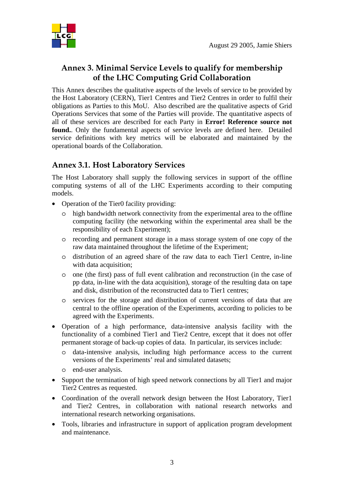

# **Annex 3. Minimal Service Levels to qualify for membership of the LHC Computing Grid Collaboration**

This Annex describes the qualitative aspects of the levels of service to be provided by the Host Laboratory (CERN), Tier1 Centres and Tier2 Centres in order to fulfil their obligations as Parties to this MoU. Also described are the qualitative aspects of Grid Operations Services that some of the Parties will provide. The quantitative aspects of all of these services are described for each Party in **Error! Reference source not found.**. Only the fundamental aspects of service levels are defined here. Detailed service definitions with key metrics will be elaborated and maintained by the operational boards of the Collaboration.

# **Annex 3.1. Host Laboratory Services**

The Host Laboratory shall supply the following services in support of the offline computing systems of all of the LHC Experiments according to their computing models.

- Operation of the Tier0 facility providing:
	- o high bandwidth network connectivity from the experimental area to the offline computing facility (the networking within the experimental area shall be the responsibility of each Experiment);
	- o recording and permanent storage in a mass storage system of one copy of the raw data maintained throughout the lifetime of the Experiment;
	- o distribution of an agreed share of the raw data to each Tier1 Centre, in-line with data acquisition:
	- o one (the first) pass of full event calibration and reconstruction (in the case of pp data, in-line with the data acquisition), storage of the resulting data on tape and disk, distribution of the reconstructed data to Tier1 centres;
	- o services for the storage and distribution of current versions of data that are central to the offline operation of the Experiments, according to policies to be agreed with the Experiments.
- Operation of a high performance, data-intensive analysis facility with the functionality of a combined Tier1 and Tier2 Centre, except that it does not offer permanent storage of back-up copies of data. In particular, its services include:
	- o data-intensive analysis, including high performance access to the current versions of the Experiments' real and simulated datasets;
	- o end-user analysis.
- Support the termination of high speed network connections by all Tier1 and major Tier2 Centres as requested.
- Coordination of the overall network design between the Host Laboratory, Tier1 and Tier2 Centres, in collaboration with national research networks and international research networking organisations.
- Tools, libraries and infrastructure in support of application program development and maintenance.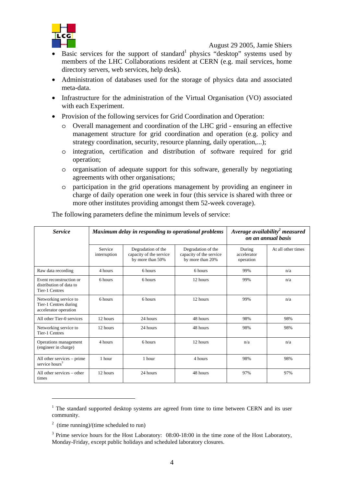

August 29 2005, Jamie Shiers

- Basic services for the support of standard<sup>1</sup> physics "desktop" systems used by members of the LHC Collaborations resident at CERN (e.g. mail services, home directory servers, web services, help desk).
- Administration of databases used for the storage of physics data and associated meta-data.
- Infrastructure for the administration of the Virtual Organisation (VO) associated with each Experiment.
- Provision of the following services for Grid Coordination and Operation:
	- o Overall management and coordination of the LHC grid ensuring an effective management structure for grid coordination and operation (e.g. policy and strategy coordination, security, resource planning, daily operation,...);
	- o integration, certification and distribution of software required for grid operation;
	- o organisation of adequate support for this software, generally by negotiating agreements with other organisations;
	- o participation in the grid operations management by providing an engineer in charge of daily operation one week in four (this service is shared with three or more other institutes providing amongst them 52-week coverage).

| <b>Service</b>                                                              | Maximum delay in responding to operational problems |                                                                   |                                                                   | Average availability <sup>2</sup> measured<br>on an annual basis |                    |
|-----------------------------------------------------------------------------|-----------------------------------------------------|-------------------------------------------------------------------|-------------------------------------------------------------------|------------------------------------------------------------------|--------------------|
|                                                                             | Service<br>interruption                             | Degradation of the<br>capacity of the service<br>by more than 50% | Degradation of the<br>capacity of the service<br>by more than 20% | During<br>accelerator<br>operation                               | At all other times |
| Raw data recording                                                          | 4 hours                                             | 6 hours                                                           | 6 hours                                                           | 99%                                                              | n/a                |
| Event reconstruction or<br>distribution of data to<br><b>Tier-1 Centres</b> | 6 hours                                             | 6 hours                                                           | 12 hours                                                          | 99%                                                              | n/a                |
| Networking service to<br>Tier-1 Centres during<br>accelerator operation     | 6 hours                                             | 6 hours                                                           | 12 hours                                                          | 99%                                                              | n/a                |
| All other Tier-0 services                                                   | 12 hours                                            | 24 hours                                                          | 48 hours                                                          | 98%                                                              | 98%                |
| Networking service to<br><b>Tier-1 Centres</b>                              | 12 hours                                            | 24 hours                                                          | 48 hours                                                          | 98%                                                              | 98%                |
| Operations management<br>(engineer in charge)                               | 4 hours                                             | 6 hours                                                           | 12 hours                                                          | n/a                                                              | n/a                |
| All other services – prime<br>service hours <sup>3</sup>                    | 1 hour                                              | 1 hour                                                            | 4 hours                                                           | 98%                                                              | 98%                |
| All other services – other<br>times                                         | 12 hours                                            | 24 hours                                                          | 48 hours                                                          | 97%                                                              | 97%                |

The following parameters define the minimum levels of service:

 $\overline{a}$ 

 $1$  The standard supported desktop systems are agreed from time to time between CERN and its user community.

 $2 \text{ (time running)/(time scheduled to run)}$ 

 $3$  Prime service hours for the Host Laboratory: 08:00-18:00 in the time zone of the Host Laboratory, Monday-Friday, except public holidays and scheduled laboratory closures.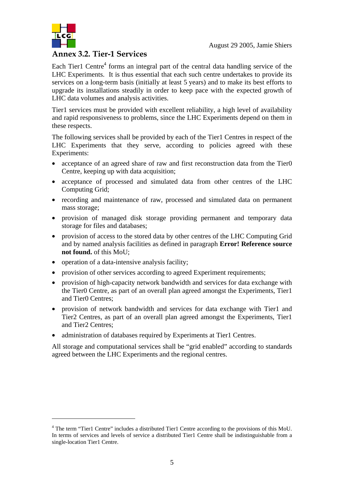

 $\overline{a}$ 

#### **Annex 3.2. Tier-1 Services**

Each Tier1 Centre $4$  forms an integral part of the central data handling service of the LHC Experiments. It is thus essential that each such centre undertakes to provide its services on a long-term basis (initially at least 5 years) and to make its best efforts to upgrade its installations steadily in order to keep pace with the expected growth of LHC data volumes and analysis activities.

Tier1 services must be provided with excellent reliability, a high level of availability and rapid responsiveness to problems, since the LHC Experiments depend on them in these respects.

The following services shall be provided by each of the Tier1 Centres in respect of the LHC Experiments that they serve, according to policies agreed with these Experiments:

- acceptance of an agreed share of raw and first reconstruction data from the Tier0 Centre, keeping up with data acquisition;
- acceptance of processed and simulated data from other centres of the LHC Computing Grid;
- recording and maintenance of raw, processed and simulated data on permanent mass storage;
- provision of managed disk storage providing permanent and temporary data storage for files and databases;
- provision of access to the stored data by other centres of the LHC Computing Grid and by named analysis facilities as defined in paragraph **Error! Reference source not found.** of this MoU;
- operation of a data-intensive analysis facility;
- provision of other services according to agreed Experiment requirements;
- provision of high-capacity network bandwidth and services for data exchange with the Tier0 Centre, as part of an overall plan agreed amongst the Experiments, Tier1 and Tier0 Centres;
- provision of network bandwidth and services for data exchange with Tier1 and Tier2 Centres, as part of an overall plan agreed amongst the Experiments, Tier1 and Tier2 Centres;
- administration of databases required by Experiments at Tier1 Centres.

All storage and computational services shall be "grid enabled" according to standards agreed between the LHC Experiments and the regional centres.

<sup>&</sup>lt;sup>4</sup> The term "Tier1 Centre" includes a distributed Tier1 Centre according to the provisions of this MoU. In terms of services and levels of service a distributed Tier1 Centre shall be indistinguishable from a single-location Tier1 Centre.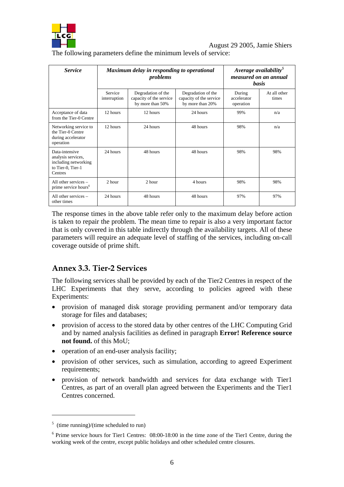

The following parameters define the minimum levels of service:

| <i>Service</i>                                                                               | Maximum delay in responding to operational<br>problems |                                                                   |                                                                   | Average availability <sup>5</sup><br>measured on an annual<br><b>basis</b> |                       |
|----------------------------------------------------------------------------------------------|--------------------------------------------------------|-------------------------------------------------------------------|-------------------------------------------------------------------|----------------------------------------------------------------------------|-----------------------|
|                                                                                              | Service<br>interruption                                | Degradation of the<br>capacity of the service<br>by more than 50% | Degradation of the<br>capacity of the service<br>by more than 20% | During<br>accelerator<br>operation                                         | At all other<br>times |
| Acceptance of data<br>from the Tier-0 Centre                                                 | 12 hours                                               | 12 hours                                                          | 24 hours                                                          | 99%                                                                        | n/a                   |
| Networking service to<br>the Tier-0 Centre<br>during accelerator<br>operation                | 12 hours                                               | 24 hours                                                          | 48 hours                                                          | 98%                                                                        | n/a                   |
| Data-intensive<br>analysis services,<br>including networking<br>to Tier-0, Tier-1<br>Centres | 24 hours                                               | 48 hours                                                          | 48 hours                                                          | 98%                                                                        | 98%                   |
| All other services $-$<br>prime service hours <sup>6</sup>                                   | $2$ hour                                               | 2 hour                                                            | 4 hours                                                           | 98%                                                                        | 98%                   |
| All other services $-$<br>other times                                                        | 24 hours                                               | 48 hours                                                          | 48 hours                                                          | 97%                                                                        | 97%                   |

The response times in the above table refer only to the maximum delay before action is taken to repair the problem. The mean time to repair is also a very important factor that is only covered in this table indirectly through the availability targets. All of these parameters will require an adequate level of staffing of the services, including on-call coverage outside of prime shift.

# **Annex 3.3. Tier-2 Services**

The following services shall be provided by each of the Tier2 Centres in respect of the LHC Experiments that they serve, according to policies agreed with these Experiments:

- provision of managed disk storage providing permanent and/or temporary data storage for files and databases;
- provision of access to the stored data by other centres of the LHC Computing Grid and by named analysis facilities as defined in paragraph **Error! Reference source not found.** of this MoU;
- operation of an end-user analysis facility:
- provision of other services, such as simulation, according to agreed Experiment requirements;
- provision of network bandwidth and services for data exchange with Tier1 Centres, as part of an overall plan agreed between the Experiments and the Tier1 Centres concerned.

 $\overline{a}$ 

 $5$  (time running)/(time scheduled to run)

<sup>&</sup>lt;sup>6</sup> Prime service hours for Tier1 Centres: 08:00-18:00 in the time zone of the Tier1 Centre, during the working week of the centre, except public holidays and other scheduled centre closures.